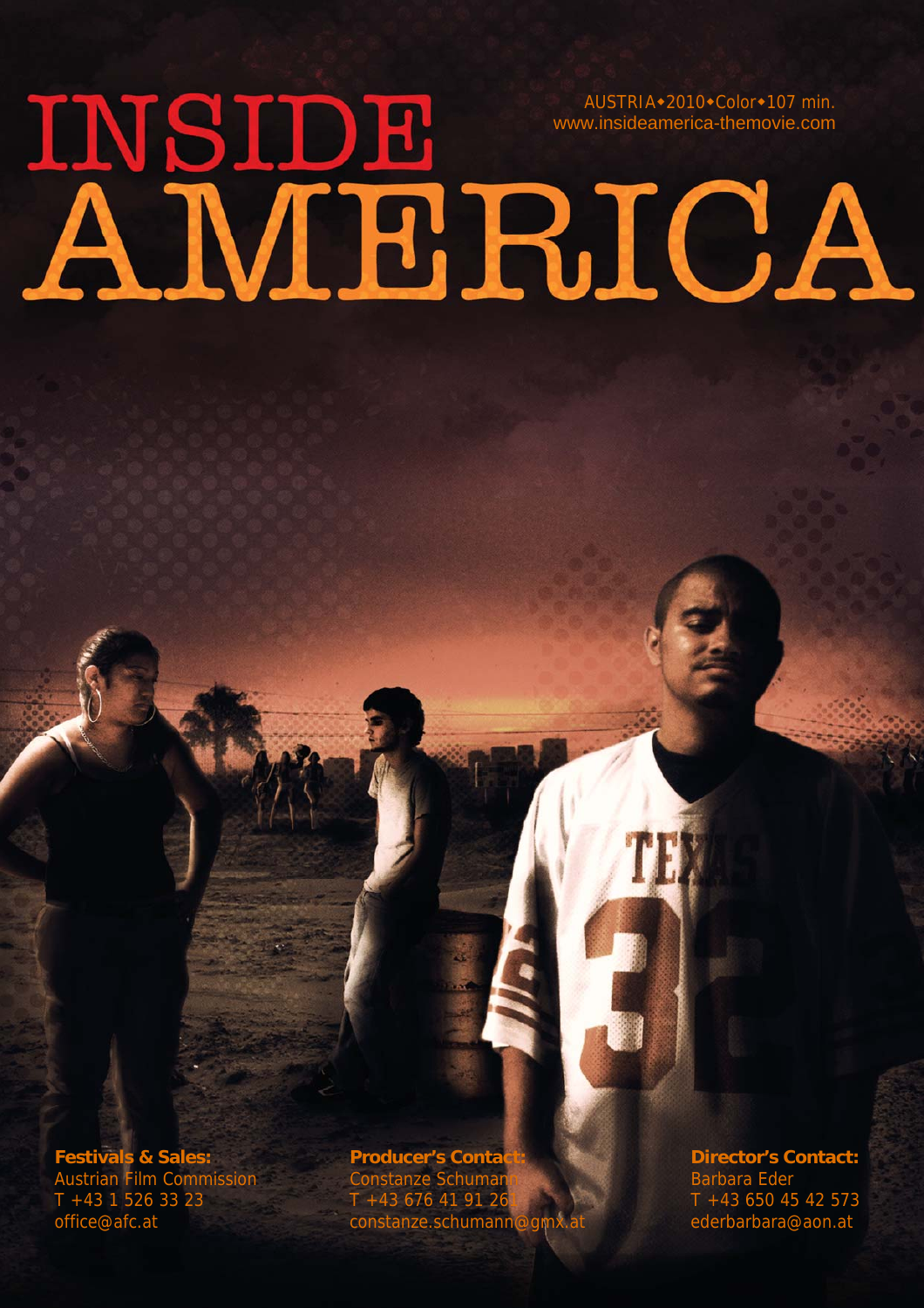# AUSTRIA\*2010\*Color\*107 min. www.insideamerica-themovie.com

**Festivals & Sales:** Producer's Contact: **Producer's Contact:** Director's Contact: <br>
Austrian Film Commission Constanze Schumannia and Barbara Eder Austrian Film Commission Constanze Schumann Barbara Eder T +43 1 526 33 23 T +43 676 41 91 261 T +43 650 45 42 573 office@afc.at constanze.schumann@gmx.at ederbarbara@aon.at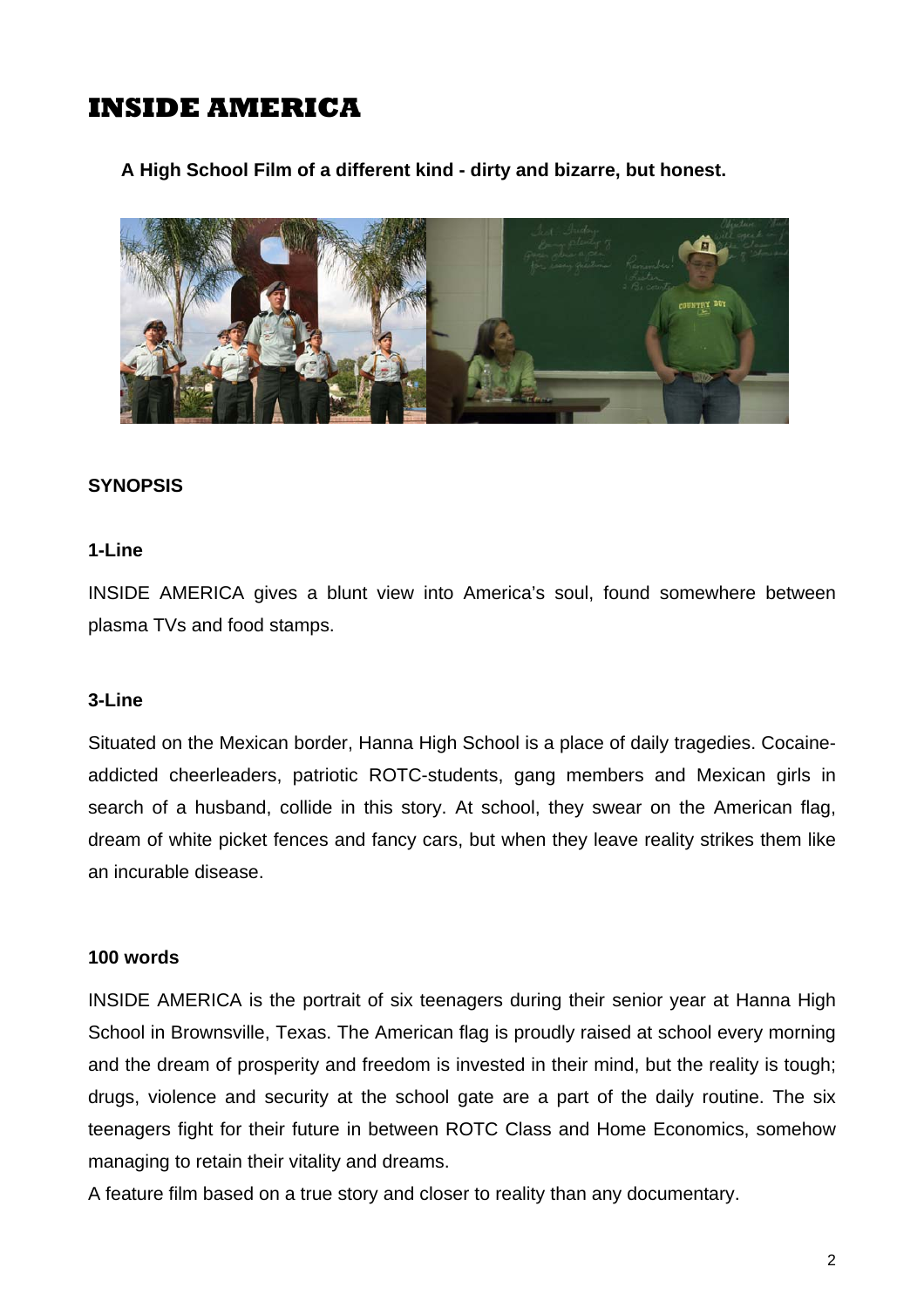**A High School Film of a different kind - dirty and bizarre, but honest.** 



#### **SYNOPSIS**

#### **1-Line**

INSIDE AMERICA gives a blunt view into America's soul, found somewhere between plasma TVs and food stamps.

#### **3-Line**

Situated on the Mexican border, Hanna High School is a place of daily tragedies. Cocaineaddicted cheerleaders, patriotic ROTC-students, gang members and Mexican girls in search of a husband, collide in this story. At school, they swear on the American flag, dream of white picket fences and fancy cars, but when they leave reality strikes them like an incurable disease.

#### **100 words**

INSIDE AMERICA is the portrait of six teenagers during their senior year at Hanna High School in Brownsville, Texas. The American flag is proudly raised at school every morning and the dream of prosperity and freedom is invested in their mind, but the reality is tough; drugs, violence and security at the school gate are a part of the daily routine. The six teenagers fight for their future in between ROTC Class and Home Economics, somehow managing to retain their vitality and dreams.

A feature film based on a true story and closer to reality than any documentary.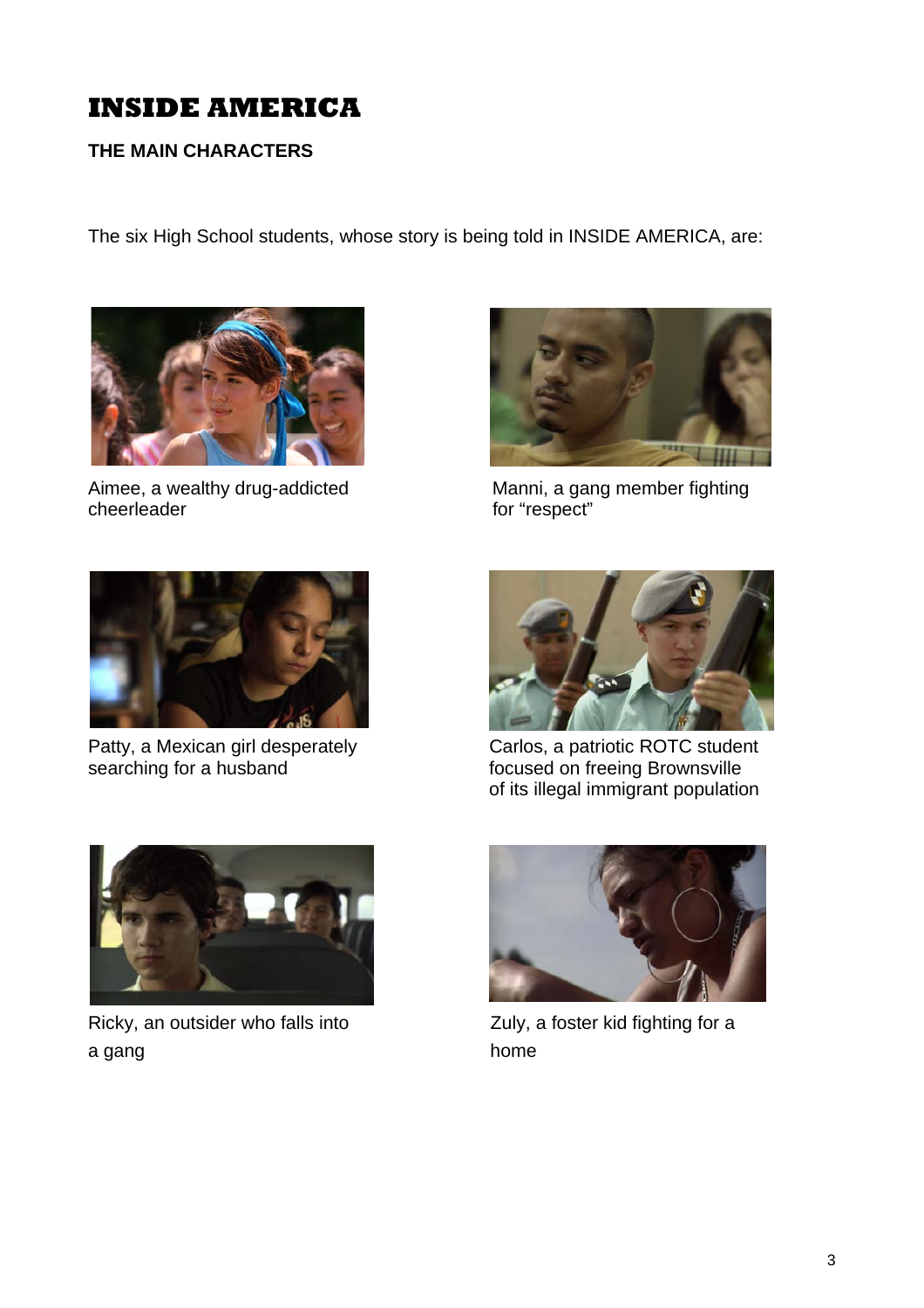#### **THE MAIN CHARACTERS**

The six High School students, whose story is being told in INSIDE AMERICA, are:



cheerleader for "respect"



Aimee, a wealthy drug-addicted Manni, a gang member fighting



Patty, a Mexican girl desperately Carlos, a patriotic ROTC student<br>searching for a husband focused on freeing Brownsville



focused on freeing Brownsville of its illegal immigrant population



Ricky, an outsider who falls into <br>
Zuly, a foster kid fighting for a a gang home

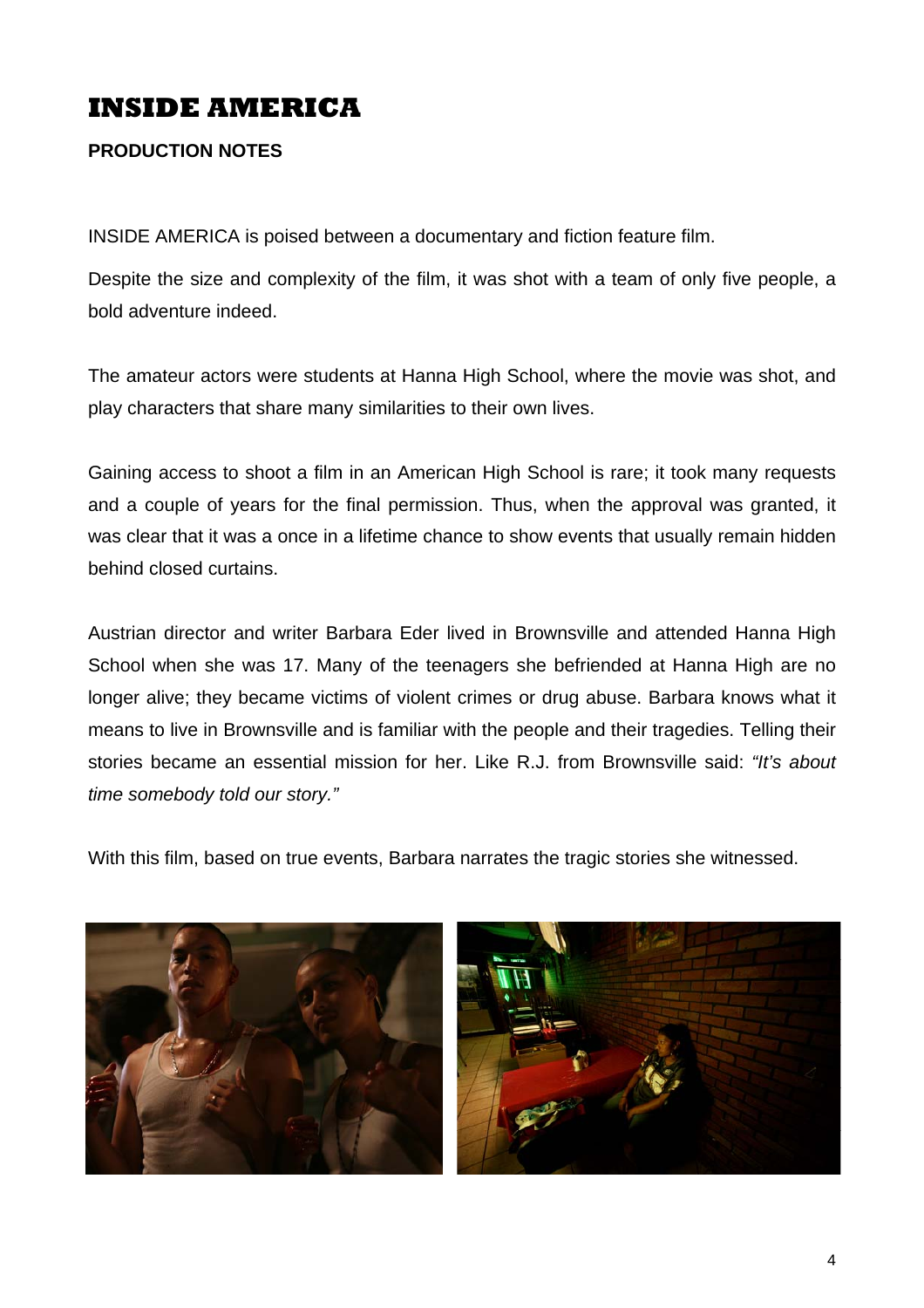#### **PRODUCTION NOTES**

INSIDE AMERICA is poised between a documentary and fiction feature film.

Despite the size and complexity of the film, it was shot with a team of only five people, a bold adventure indeed.

The amateur actors were students at Hanna High School, where the movie was shot, and play characters that share many similarities to their own lives.

Gaining access to shoot a film in an American High School is rare; it took many requests and a couple of years for the final permission. Thus, when the approval was granted, it was clear that it was a once in a lifetime chance to show events that usually remain hidden behind closed curtains.

Austrian director and writer Barbara Eder lived in Brownsville and attended Hanna High School when she was 17. Many of the teenagers she befriended at Hanna High are no longer alive; they became victims of violent crimes or drug abuse. Barbara knows what it means to live in Brownsville and is familiar with the people and their tragedies. Telling their stories became an essential mission for her. Like R.J. from Brownsville said: *"It's about time somebody told our story."* 

With this film, based on true events, Barbara narrates the tragic stories she witnessed.

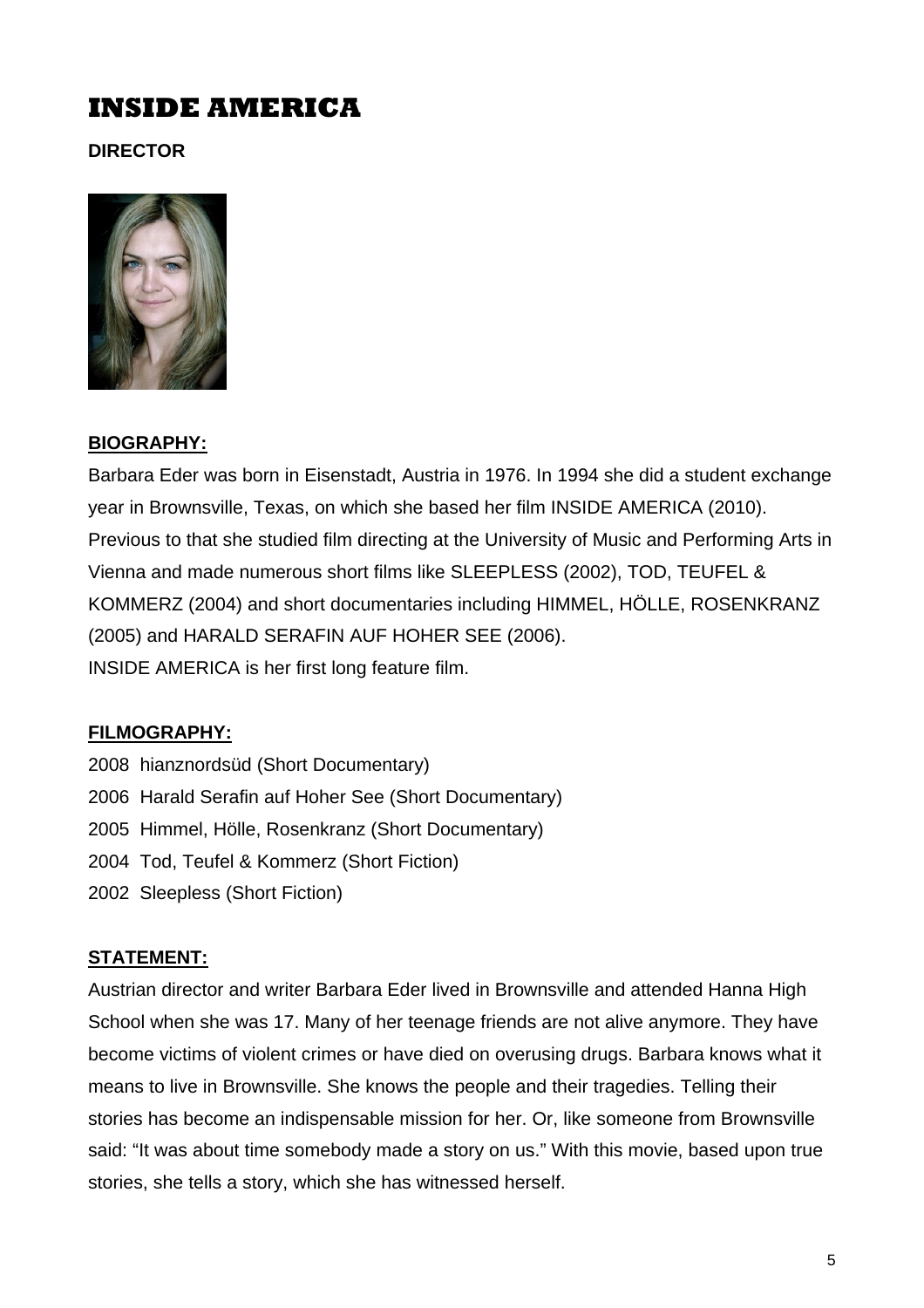**DIRECTOR** 



## **BIOGRAPHY:**

Barbara Eder was born in Eisenstadt, Austria in 1976. In 1994 she did a student exchange year in Brownsville, Texas, on which she based her film INSIDE AMERICA (2010). Previous to that she studied film directing at the University of Music and Performing Arts in Vienna and made numerous short films like SLEEPLESS (2002), TOD, TEUFEL & KOMMERZ (2004) and short documentaries including HIMMEL, HÖLLE, ROSENKRANZ (2005) and HARALD SERAFIN AUF HOHER SEE (2006). INSIDE AMERICA is her first long feature film.

## **FILMOGRAPHY:**

2008 hianznordsüd (Short Documentary) 2006 Harald Serafin auf Hoher See (Short Documentary) 2005 Himmel, Hölle, Rosenkranz (Short Documentary) 2004 Tod, Teufel & Kommerz (Short Fiction) 2002 Sleepless (Short Fiction)

## **STATEMENT:**

Austrian director and writer Barbara Eder lived in Brownsville and attended Hanna High School when she was 17. Many of her teenage friends are not alive anymore. They have become victims of violent crimes or have died on overusing drugs. Barbara knows what it means to live in Brownsville. She knows the people and their tragedies. Telling their stories has become an indispensable mission for her. Or, like someone from Brownsville said: "It was about time somebody made a story on us." With this movie, based upon true stories, she tells a story, which she has witnessed herself.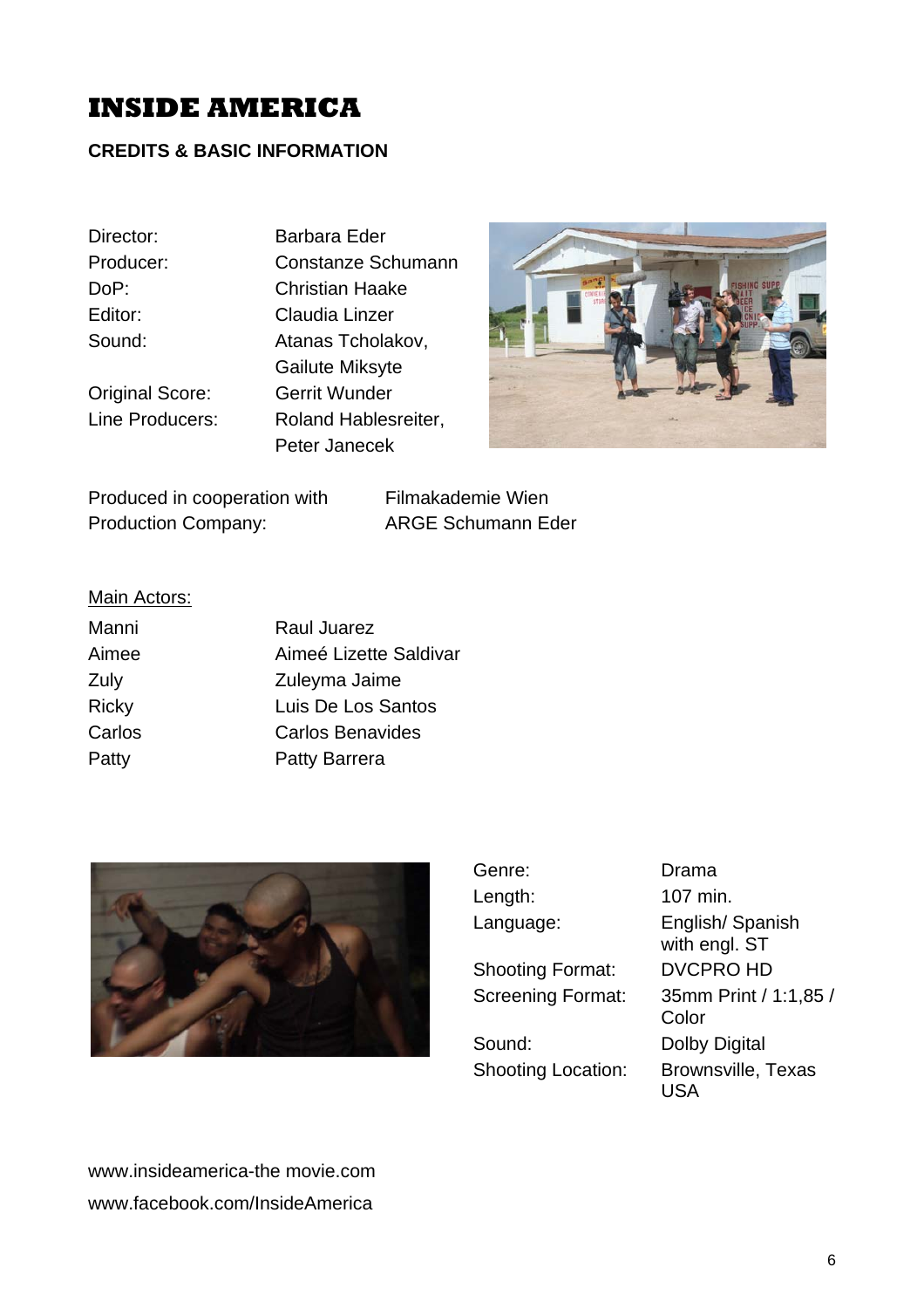#### **CREDITS & BASIC INFORMATION**

Director: Barbara Eder

Producer: Constanze Schumann DoP: Christian Haake Editor: Claudia Linzer Sound: **Atanas Tcholakov,**  Gailute Miksyte Original Score: Gerrit Wunder Line Producers: Roland Hablesreiter, Peter Janecek



Produced in cooperation with Filmakademie Wien Production Company: ARGE Schumann Eder

#### Main Actors:

| Manni        | Raul Juarez             |
|--------------|-------------------------|
| Aimee        | Aimeé Lizette Saldivar  |
| Zuly         | Zuleyma Jaime           |
| <b>Ricky</b> | Luis De Los Santos      |
| Carlos       | <b>Carlos Benavides</b> |
| Patty        | <b>Patty Barrera</b>    |



| Genre:                    | Drama                             |
|---------------------------|-----------------------------------|
| Length:                   | 107 min.                          |
| Language:                 | English/Spanish                   |
|                           | with engl. ST                     |
| <b>Shooting Format:</b>   | <b>DVCPRO HD</b>                  |
| <b>Screening Format:</b>  | 35mm Print / 1:1,85 /<br>Color    |
| Sound:                    | Dolby Digital                     |
| <b>Shooting Location:</b> | <b>Brownsville, Texas</b><br>LISA |

www.insideamerica-the movie.com www.facebook.com/InsideAmerica